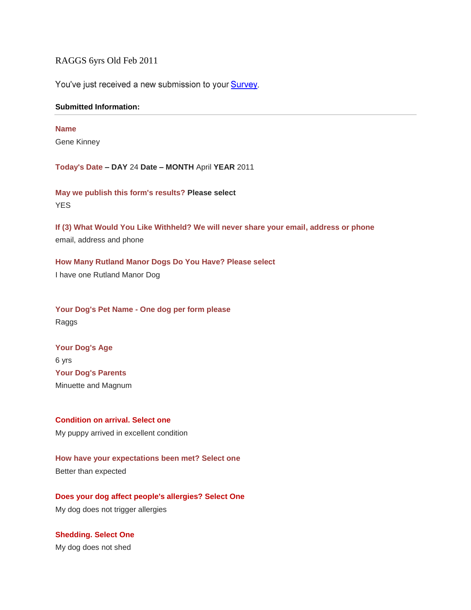RAGGS 6yrs Old Feb 2011

You've just received a new submission to your Survey.

#### **Submitted Information:**

# **Name**

Gene Kinney

**Today's Date – DAY** 24 **Date – MONTH** April **YEAR** 2011

**May we publish this form's results? Please select YES** 

**If (3) What Would You Like Withheld? We will never share your email, address or phone** email, address and phone

**How Many Rutland Manor Dogs Do You Have? Please select** I have one Rutland Manor Dog

**Your Dog's Pet Name - One dog per form please** Raggs

**Your Dog's Age** 6 yrs **Your Dog's Parents** Minuette and Magnum

**Condition on arrival. Select one** My puppy arrived in excellent condition

**How have your expectations been met? Select one** Better than expected

**Does your dog affect people's allergies? Select One** My dog does not trigger allergies

**Shedding. Select One** My dog does not shed